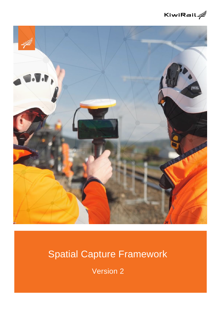



# Spatial Capture Framework

Version 2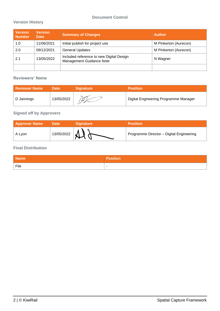# **Document Control**

## **Version History**

| <b>Version</b><br><b>Number</b> | <b>Version</b><br><b>Date</b> | <b>Summary of Changes</b>                                            | <b>Author</b>         |
|---------------------------------|-------------------------------|----------------------------------------------------------------------|-----------------------|
| 1.0                             | 11/06/2021                    | Initial publish for project use                                      | M Pinkerton (Aurecon) |
| 2.0                             | 09/12/2021                    | <b>General Updates</b>                                               | M Pinkerton (Aurecon) |
| 2.1                             | 13/05/2022                    | Included reference to new Digital Design<br>Management Guidance Note | N Wagner              |
|                                 |                               |                                                                      |                       |

#### **Reviewers' Name**

| <b>Reviewer Name</b> | <b>Date</b> | <b>Signature</b> | <b>Position</b>                       |
|----------------------|-------------|------------------|---------------------------------------|
| D Jannings           | 13/05/2022  |                  | Digital Engineering Programme Manager |

# **Signed off by Approvers**

| <b>Approver Name</b> | <b>Date</b> | <b>Signature</b> | <b>Position</b>                          |
|----------------------|-------------|------------------|------------------------------------------|
| A Lyon               | 13/05/2022  |                  | Programme Director - Digital Engineering |

## **Final Distribution**

| <b>Name</b> | <b>Position</b> |
|-------------|-----------------|
| ່ File      | . .             |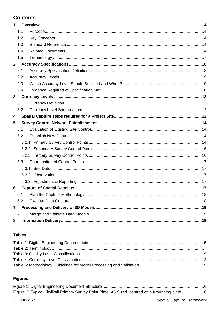# **Contents**

| $\mathbf 1$     |     |  |
|-----------------|-----|--|
|                 | 1.1 |  |
|                 | 1.2 |  |
|                 | 1.3 |  |
|                 | 1.4 |  |
|                 | 1.5 |  |
| $2^{\circ}$     |     |  |
|                 | 2.1 |  |
|                 | 2.2 |  |
|                 | 2.3 |  |
|                 | 2.4 |  |
| 3 <sup>7</sup>  |     |  |
|                 | 3.1 |  |
|                 | 3.2 |  |
| 4               |     |  |
| $5\phantom{.0}$ |     |  |
|                 | 5.1 |  |
|                 | 5.2 |  |
|                 |     |  |
|                 |     |  |
|                 |     |  |
|                 | 5.3 |  |
|                 |     |  |
|                 |     |  |
|                 |     |  |
| 6               |     |  |
|                 | 6.1 |  |
|                 | 6.2 |  |
| $\overline{7}$  |     |  |
|                 | 7.1 |  |
| 8               |     |  |

# **Tables**

# **Figures**

| Figure 2: Typical KiwiRail Primary Survey Point Plate, A5 Sized, centred on surrounding plate 16 |  |
|--------------------------------------------------------------------------------------------------|--|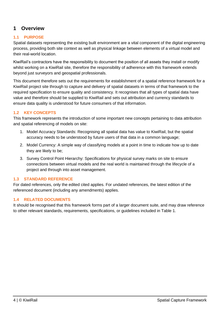# <span id="page-3-0"></span>**1 Overview**

## <span id="page-3-1"></span>**1.1 PURPOSE**

Spatial datasets representing the existing built environment are a vital component of the digital engineering process, providing both site context as well as physical linkage between elements of a virtual model and their real-world location.

KiwiRail's contractors have the responsibility to document the position of all assets they install or modify whilst working on a KiwiRail site, therefore the responsibility of adherence with this framework extends beyond just surveyors and geospatial professionals.

This document therefore sets out the requirements for establishment of a spatial reference framework for a KiwiRail project site through to capture and delivery of spatial datasets in terms of that framework to the required specification to ensure quality and consistency. It recognises that all types of spatial data have value and therefore should be supplied to KiwiRail and sets out attribution and currency standards to ensure data quality is understood for future consumers of that information.

## <span id="page-3-2"></span>**1.2 KEY CONCEPTS**

This framework represents the introduction of some important new concepts pertaining to data attribution and spatial referencing of models on site:

- 1. Model Accuracy Standards: Recognising all spatial data has value to KiwiRail, but the spatial accuracy needs to be understood by future users of that data in a common language;
- 2. Model Currency: A simple way of classifying models at a point in time to indicate how up to date they are likely to be;
- 3. Survey Control Point Hierarchy: Specifications for physical survey marks on site to ensure connections between virtual models and the real world is maintained through the lifecycle of a project and through into asset management.

## <span id="page-3-3"></span>**1.3 STANDARD REFERENCE**

For dated references, only the edited cited applies. For undated references, the latest edition of the referenced document (including any amendments) applies.

## <span id="page-3-4"></span>**1.4 RELATED DOCUMENTS**

It should be recognised that this framework forms part of a larger document suite, and may draw reference to other relevant standards, requirements, specifications, or guidelines included in Table 1.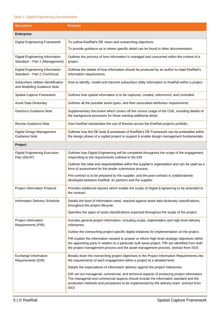#### <span id="page-4-0"></span>*Table 1: Digital Engineering Documentation*

| <b>Document</b>                                                    | <b>Purpose</b>                                                                                                                                                                                                                                                                             |  |
|--------------------------------------------------------------------|--------------------------------------------------------------------------------------------------------------------------------------------------------------------------------------------------------------------------------------------------------------------------------------------|--|
| <b>Enterprise</b>                                                  |                                                                                                                                                                                                                                                                                            |  |
| Digital Engineering Framework                                      | To outline KiwiRail's DE vision and overarching objectives.                                                                                                                                                                                                                                |  |
|                                                                    | To provide guidance as to where specific detail can be found in other documentation.                                                                                                                                                                                                       |  |
| Digital Engineering Information<br>Standard - Part 1 (Management)  | Outlines the process of how information is managed and consumed within the context of a<br>project.                                                                                                                                                                                        |  |
| Digital Engineering Information<br>Standard - Part 2 (Technical)   | Outlines the details of how information should be produced by an author to meet KiwiRail's<br>information requirements.                                                                                                                                                                    |  |
| Subsurface Utilities Identification<br>and Modelling Guidance Note | How to identify, model and transmit subsurface utility information to KiwiRail within a project.                                                                                                                                                                                           |  |
| <b>Spatial Capture Framework</b>                                   | Outlines how spatial information is to be captured, created, referenced, and controlled.                                                                                                                                                                                                   |  |
| <b>Asset Data Dictionary</b>                                       | Outlines all the possible asset types, and their associated attribution requirements.                                                                                                                                                                                                      |  |
| GeoDocs Guidance Note                                              | Supplementary document which covers off the correct usage of the CDE, including details of<br>the background processes for those wanting additional detail.                                                                                                                                |  |
| Revizto Guidance Note                                              | How KiwiRail standardise the use of Revizto across the KiwiRail projects portfolio.                                                                                                                                                                                                        |  |
| Digital Design Management<br>Guidance Note                         | Outlines how the DE tools & processes of KiwiRail's DE Framework can be embedded within<br>the design phase of a capital project to support & enable design management fundamentals.                                                                                                       |  |
| Project                                                            |                                                                                                                                                                                                                                                                                            |  |
| <b>Digital Engineering Execution</b><br>Plan (DEXP)                | Outlines how Digital Engineering will be completed throughout the scope of the engagement,<br>responding to the requirements outlined in the EIR.                                                                                                                                          |  |
|                                                                    | Outlines the roles and responsibilities within the supplier's organisation and can be used as a<br>form of assessment for the tender submission process.                                                                                                                                   |  |
|                                                                    | Pre-contract is to be prepared by the supplier, and the post-contract is collaboratively<br>developed between KiwiRail, its partners and the supplier.                                                                                                                                     |  |
| Project Information Protocol                                       | Provides additional clauses which enable the scope of Digital Engineering to be amended to<br>the contract.                                                                                                                                                                                |  |
| Information Delivery Schedule                                      | Details the level of information need, required against asset data dictionary classifications,<br>throughout the project lifecycle.                                                                                                                                                        |  |
|                                                                    | Specifies the types of asset classifications expected throughout the scope of the project.                                                                                                                                                                                                 |  |
| Project Information<br>Requirements (PIR)                          | Includes general project information, including scope, stakeholders and high-level delivery<br>milestones.                                                                                                                                                                                 |  |
|                                                                    | Outline the overarching project specific digital initiatives for implementation on the project.                                                                                                                                                                                            |  |
|                                                                    | PIR explain the information needed to answer or inform high-level strategic objectives within<br>the appointing party in relation to a particular built asset project. PIR are identified from both<br>the project management process and the asset management process. (extract from ISO) |  |
| Exchange Information<br>Requirements (EIR)                         | Breaks down the overarching project objectives in the Project Information Requirements into<br>the requirements of each engagement within a project at a detailed level.                                                                                                                   |  |
|                                                                    | Details the expectations of information delivery against the project milestones.                                                                                                                                                                                                           |  |
|                                                                    | EIR set out managerial, commercial, and technical aspects of producing project information.<br>The managerial and commercial aspects should include the information standard and the<br>production methods and procedures to be implemented by the delivery team. (extract from<br>ISO)    |  |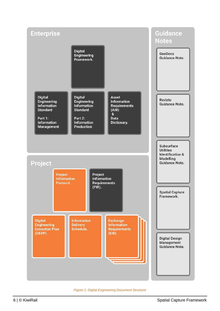

<span id="page-5-0"></span>*Figure 1: Digital Engineering Document Structure*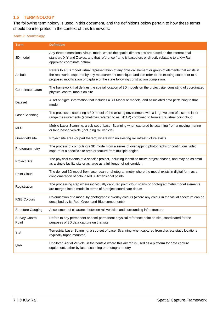#### <span id="page-6-0"></span>**1.5 TERMINOLOGY**

The following terminology is used in this document, and the definitions below pertain to how these terms should be interpreted in the context of this framework:

#### <span id="page-6-1"></span>*Table 2: Terminology*

| Term                           | <b>Definition</b>                                                                                                                                                                                                                                                                                    |
|--------------------------------|------------------------------------------------------------------------------------------------------------------------------------------------------------------------------------------------------------------------------------------------------------------------------------------------------|
| 3D model                       | Any three-dimensional virtual model where the spatial dimensions are based on the international<br>standard X Y and Z axes, and that reference frame is based on, or directly relatable to a KiwiRail<br>approved coordinate datum.                                                                  |
| As built                       | Refers to a 3D model virtual representation of any physical element or group of elements that exists in<br>the real-world, captured by any measurement technique, and can refer to the existing state prior to a<br>proposed modification or capture of the state following construction completion. |
| Coordinate datum               | The framework that defines the spatial location of 3D models on the project site, consisting of coordinated<br>physical control marks on site                                                                                                                                                        |
| Dataset                        | A set of digital information that includes a 3D Model or models, and associated data pertaining to that<br>model                                                                                                                                                                                     |
| Laser Scanning                 | The process of capturing a 3D model of the existing environment with a large volume of discrete laser<br>range measurements (sometimes referred to as LiDAR) combined to form a 3D virtual point cloud                                                                                               |
| <b>MLS</b>                     | Mobile Laser Scanning, a sub-set of Laser Scanning when captured by scanning from a moving marine<br>or land based vehicle (including rail vehicle)                                                                                                                                                  |
| Greenfield site                | Project site area (or part thereof) where with no existing rail infrastructure exists                                                                                                                                                                                                                |
| Photogrammetry                 | The process of computing a 3D model from a series of overlapping photographs or continuous video<br>capture of a specific site area or feature from multiple angles                                                                                                                                  |
| <b>Project Site</b>            | The physical extents of a specific project, including identified future project phases, and may be as small<br>as a single facility site or as large as a full length of rail corridor.                                                                                                              |
| Point Cloud                    | The derived 3D model from laser scan or photogrammetry where the model exists in digital form as a<br>conglomeration of colourised 3 Dimensional points                                                                                                                                              |
| Registration                   | The processing step where individually captured point cloud scans or photogrammetry model elements<br>are merged into a model in terms of a project coordinate datum                                                                                                                                 |
| <b>RGB Colours</b>             | Colourisation of a model by photographic overlay colours (where any colour in the visual spectrum can be<br>described by its Red, Green and Blue components)                                                                                                                                         |
| <b>Structure Gauging</b>       | Assessment of clearance between rail vehicles and surrounding infrastructure                                                                                                                                                                                                                         |
| <b>Survey Control</b><br>Point | Refers to any permanent or semi-permanent physical reference point on site, coordinated for the<br>purposes of 3D data capture on that site                                                                                                                                                          |
| <b>TLS</b>                     | Terrestrial Laser Scanning, a sub-set of Laser Scanning when captured from discrete static locations<br>(typically tripod mounted)                                                                                                                                                                   |
| UAV                            | Unpiloted Aerial Vehicle, in the context where this aircraft is used as a platform for data capture<br>equipment, either by laser scanning or photogrammetry                                                                                                                                         |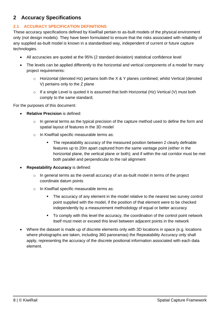# <span id="page-7-0"></span>**2 Accuracy Specifications**

## <span id="page-7-1"></span>**2.1 ACCURACY SPECIFICATION DEFINITIONS**

These accuracy specifications defined by KiwiRail pertain to as-built models of the physical environment only (not design models). They have been formulated to ensure that the risks associated with reliability of any supplied as-built model is known in a standardised way, independent of current or future capture technologies.

- All accuracies are quoted at the 95% (2 standard deviation) statistical confidence level
- The levels can be applied differently to the horizontal and vertical components of a model for many project requirements:
	- $\circ$  Horizontal (denoted Hz) pertains both the X & Y planes combined, whilst Vertical (denoted V) pertains only to the Z plane
	- $\circ$  If a single Level is quoted it is assumed that both Horizontal (Hz) Vertical (V) must both comply to the same standard;

For the purposes of this document:

- **Relative Precision** is defined:
	- $\circ$  In general terms as the typical precision of the capture method used to define the form and spatial layout of features in the 3D model
	- o In KiwiRail specific measurable terms as:
		- The repeatability accuracy of the measured position between 2 clearly definable features up to 20m apart captured from the same vantage point (either in the horizontal plane, the vertical plane or both); and if within the rail corridor must be met both parallel and perpendicular to the rail alignment
- **Repeatability Accuracy** is defined:
	- $\circ$  In general terms as the overall accuracy of an as-built model in terms of the project coordinate datum points
	- o In KiwiRail specific measurable terms as:
		- The accuracy of any element in the model relative to the nearest two survey control point supplied with the model, if the position of that element were to be checked independently by a measurement methodology of equal or better accuracy
		- To comply with this level the accuracy, the coordination of the control point network itself must meet or exceed this level between adjacent points in the network
- Where the dataset is made up of discrete elements only with 3D locations in space (e.g. locations where photographs are taken, including 360 panoramas) the Repeatability Accuracy only shall apply, representing the accuracy of the discrete positional information associated with each data element.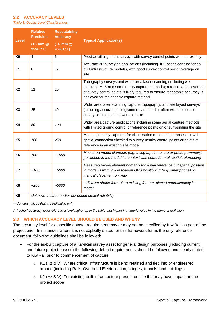#### <span id="page-8-0"></span>**2.2 ACCURACY LEVELS**

<span id="page-8-2"></span>*Table 3: Quality Level Classifications*

| <b>Level</b>   | <b>Relative</b><br><b>Precision</b><br>$(+/-$ mm $@$<br>95% C.I.) | <b>Repeatability</b><br><b>Accuracy</b><br>$(+/-$ mm $@$<br>95% C.I.) | <b>Typical Application(s)</b>                                                                                                                                                                                                                                         |
|----------------|-------------------------------------------------------------------|-----------------------------------------------------------------------|-----------------------------------------------------------------------------------------------------------------------------------------------------------------------------------------------------------------------------------------------------------------------|
| K <sub>0</sub> | $\overline{4}$                                                    | 6                                                                     | Precise rail alignment surveys with survey control points within proximity                                                                                                                                                                                            |
| <b>K1</b>      | 8                                                                 | 12                                                                    | Accurate 3D surveying applications (including 3D Laser Scanning for as-<br>built infrastructure models), with good survey control point coverage on<br>site                                                                                                           |
| <b>K2</b>      | 12                                                                | 20                                                                    | Topography surveys and wider area laser scanning (including well<br>executed MLS and some reality capture methods); a reasonable coverage<br>of survey control points is likely required to ensure repeatable accuracy is<br>achieved for the specific capture method |
| K <sub>3</sub> | 25                                                                | 40                                                                    | Wider area laser scanning capture, topography, and site layout surveys<br>(including accurate photogrammetry methods), often with less dense<br>survey control point networks on site                                                                                 |
| <b>K4</b>      | 50                                                                | 100                                                                   | Wider area capture applications including some aerial capture methods,<br>with limited ground control or reference points on or surrounding the site                                                                                                                  |
| K <sub>5</sub> | 100                                                               | 250                                                                   | Models primarily captured for visualisation or context purposes but with<br>spatial connection checked to survey nearby control points or points of<br>reference in an existing site model                                                                            |
| K <sub>6</sub> | 100                                                               | ~1000                                                                 | Measured model elements (e.g. using tape measure or photogrammetry)<br>positioned in the model for context with some form of spatial referencing                                                                                                                      |
| K7             | ~100                                                              | $-5000$                                                               | Measured model element primarily for visual reference but spatial position<br>in model is from low resolution GPS positioning (e.g. smartphone) or<br>manual placement on map                                                                                         |
| K <sub>8</sub> | $-250$                                                            | $-5000$                                                               | Indicative shape form of an existing feature, placed approximately in<br>model                                                                                                                                                                                        |
| K <sub>9</sub> | Unknown source and/or unverified spatial reliability              |                                                                       |                                                                                                                                                                                                                                                                       |

~ *denotes values that are indicative only*

*A "higher" accuracy level refers to a level higher up in the table, not higher in numeric value in the name or definition*

#### <span id="page-8-1"></span>**2.3 WHICH ACCURACY LEVEL SHOULD BE USED AND WHEN?**

The accuracy level for a specific dataset requirement may or may not be specified by KiwiRail as part of the project brief. In instances where it is not explicitly stated, or this framework forms the only reference document, following guidelines shall be followed:

- For the as-built capture of a KiwiRail survey asset for general design purposes (including current and future project phases) the following default requirements should be followed and clearly stated to KiwiRail prior to commencement of capture:
	- $\circ$  K1 (Hz & V): Where critical infrastructure is being retained and tied into or engineered around (including Rail\*, Overhead Electrification, bridges, tunnels, and buildings)
	- o K2 (Hz & V): For existing built infrastructure present on site that may have impact on the project scope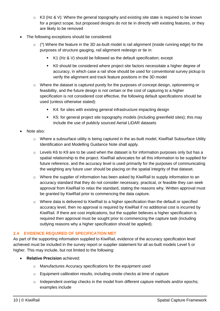- $\circ$  K3 (Hz & V): Where the general topography and existing site state is required to be known for a project scope, but proposed designs do not tie in directly with existing features, or they are likely to be removed
- The following exceptions should be considered:
	- $\circ$  (\*) Where the feature in the 3D as-built model is rail alignment (inside running edge) for the purposes of structure gauging, rail alignment redesign or tie in:
		- $K1$  (Hz & V) should be followed as the default specification; except
		- K0 should be considered where project site factors necessitate a higher degree of accuracy, in which case a rail shoe should be used for conventional survey pickup to verify the alignment and track feature positions in the 3D model
	- $\circ$  Where the dataset is captured purely for the purposes of concept design, optioneering or feasibility, and the future design is not certain or the cost of capturing to a higher specification is not considered cost effective, the following default specifications should be used (unless otherwise stated):
		- K4: for sites with existing general infrastructure impacting design
		- K5: for general project site topography models (including greenfield sites); this may include the use of publicly sourced Aerial LiDAR datasets
- Note also:
	- o Where a subsurface utility is being captured in the as-built model, KiwiRail Subsurface Utility Identification and Modelling Guidance Note shall apply.
	- $\circ$  Levels K6 to K9 are to be used when the dataset is for information purposes only but has a spatial relationship to the project. KiwiRail advocates for all this information to be supplied for future reference, and the accuracy level is used primarily for the purposes of communicating the weighting any future user should be placing on the spatial integrity of that dataset.
	- o Where the supplier of information has been asked by KiwiRail to supply information to an accuracy standard that they do not consider necessary, practical, or feasible they can seek approval from KiwiRail to relax the standard, stating the reasons why. Written approval must be granted by KiwiRail prior to commencing the data capture.
	- o Where data is delivered to KiwiRail to a higher specification than the default or specified accuracy level, then no approval is required by KiwiRail if no additional cost is incurred by KiwiRail. If there are cost implications, but the supplier believes a higher specification is required then approval must be sought prior to commencing the capture task (including outlying reasons why a higher specification should be applied).

## <span id="page-9-0"></span>**2.4 EVIDENCE REQUIRED OF SPECIFICATION MET**

As part of the supporting information supplied to KiwiRail, evidence of the accuracy specification level achieved must be included in the survey report or supplier statement for all as-built models Level 5 or higher. This may include, but not limited to the following:

- **Relative Precision** achieved:
	- o Manufactures Accuracy specifications for the equipment used
	- o Equipment calibration results, including onsite checks at time of capture
	- $\circ$  Independent overlap checks in the model from different capture methods and/or epochs; examples include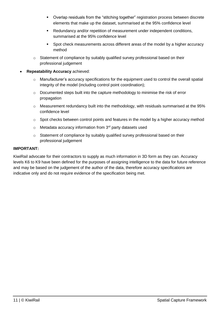- Overlap residuals from the "stitching together" registration process between discrete elements that make up the dataset, summarised at the 95% confidence level
- Redundancy and/or repetition of measurement under independent conditions, summarised at the 95% confidence level
- Spot check measurements across different areas of the model by a higher accuracy method
- o Statement of compliance by suitably qualified survey professional based on their professional judgement
- **Repeatability Accuracy** achieved:
	- o Manufacturer's accuracy specifications for the equipment used to control the overall spatial integrity of the model (including control point coordination);
	- o Documented steps built into the capture methodology to minimise the risk of error propagation
	- o Measurement redundancy built into the methodology, with residuals summarised at the 95% confidence level
	- o Spot checks between control points and features in the model by a higher accuracy method
	- $\circ$  Metadata accuracy information from 3<sup>rd</sup> party datasets used
	- o Statement of compliance by suitably qualified survey professional based on their professional judgement

#### **IMPORTANT:**

KiwiRail advocate for their contractors to supply as much information in 3D form as they can. Accuracy levels K6 to K9 have been defined for the purposes of assigning intelligence to the data for future reference and may be based on the judgement of the author of the data, therefore accuracy specifications are indicative only and do not require evidence of the specification being met.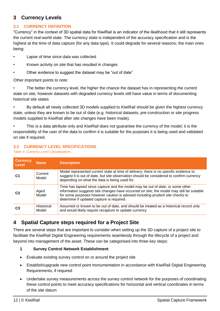# <span id="page-11-0"></span>**3 Currency Levels**

## <span id="page-11-1"></span>**3.1 CURRENCY DEFINITION**

"Currency" in the context of 3D spatial data for KiwiRail is an indicator of the likelihood that it still represents the current real-world state. The currency state is independent of the accuracy specification and is the highest at the time of data capture (for any data type). It could degrade for several reasons; the main ones being:

- Lapse of time since data was collected
- Known activity on site that has resulted in changes
- Other evidence to suggest the dataset may be "out of date"

Other important points to note:

The better the currency level, the higher the chance the dataset has in representing the current state on site, however datasets with degraded currency levels still have value in terms of documenting historical site states

• By default all newly collected 3D models supplied to KiwiRail should be given the highest currency state, unless they are known to be out of date (e.g. historical datasets, pre-construction or site progress models supplied to KiwiRail after site changes have been made).

• This is a data attribute only and KiwiRail does not guarantee the currency of the model; it is the responsibility of the user of the data to confirm it is suitable for the purposes it is being used and validated on site if required.

# <span id="page-11-2"></span>**3.2 CURRENCY LEVEL SPECIFICATIONS**

<span id="page-11-4"></span>*Table 4: Currency Level Classifications*

| <b>Currency</b><br>Level | <b>Name</b>         | <b>Description</b>                                                                                                                                                                                                                                                                                      |
|--------------------------|---------------------|---------------------------------------------------------------------------------------------------------------------------------------------------------------------------------------------------------------------------------------------------------------------------------------------------------|
|                          | Current<br>Model    | Model represented current state at time of delivery; there is no specific evidence to<br>suggest it is out of date, but site observation should be considered to confirm currency<br>depending on what the data is being used for.                                                                      |
| C <sub>2</sub>           | Aged<br>Model       | Time has lapsed since capture and the model may be out of date, or some other<br>information suggests site changes have occurred on site; the model may still be suitable<br>for some purposes however caution is advised including prudent site checks to<br>determine if updated capture is required. |
|                          | Historical<br>Model | Assumed or known to be out of date, and should be treated as a historical record only<br>and would likely require recapture to update currency                                                                                                                                                          |

# <span id="page-11-3"></span>**4 Spatial Capture steps required for a Project Site**

There are several steps that are important to consider when setting up the 3D capture of a project site to facilitate the KiwiRail Digital Engineering requirements seamlessly through the lifecycle of a project and beyond into management of the asset. These can be categorised into three key steps:

## **1 Survey Control Network Establishment**

- Evaluate existing survey control on or around the project site
- Establish/upgrade new control point monumentation in accordance with KiwiRail Digital Engineering Requirements, if required
- Undertake survey measurements across the survey control network for the purposes of coordinating these control points to meet accuracy specifications for horizontal and vertical coordinates in terms of the site datum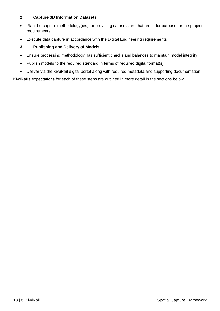# **2 Capture 3D Information Datasets**

- Plan the capture methodology(ies) for providing datasets are that are fit for purpose for the project requirements
- Execute data capture in accordance with the Digital Engineering requirements
- **3 Publishing and Delivery of Models**
- Ensure processing methodology has sufficient checks and balances to maintain model integrity
- Publish models to the required standard in terms of required digital format(s)
- Deliver via the KiwiRail digital portal along with required metadata and supporting documentation

KiwiRail's expectations for each of these steps are outlined in more detail in the sections below.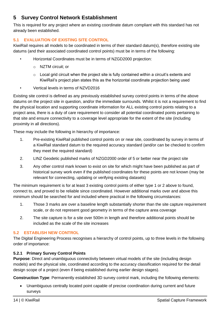# <span id="page-13-0"></span>**5 Survey Control Network Establishment**

This is required for any project where an existing coordinate datum compliant with this standard has not already been established.

# <span id="page-13-1"></span>**5.1 EVALUATION OF EXISTING SITE CONTROL**

KiwiRail requires all models to be coordinated in terms of their standard datum(s), therefore existing site datums (and their associated coordinated control points) must be in terms of the following:

- Horizontal Coordinates must be in terms of NZGD2000 projection:
	- o NZTM circuit; or
	- $\circ$  Local grid circuit when the project site is fully contained within a circuit's extents and KiwiRail's project plan states this as the horizontal coordinate projection being used
- Vertical levels in terms of NZVD2016

Existing site control is defined as any previously established survey control points in terms of the above datums on the project site in question, and/or the immediate surrounds. Whilst it is not a requirement to find the physical location and supporting coordinate information for ALL existing control points relating to a project area, there is a duty of care requirement to consider all potential coordinated points pertaining to that site and ensure connectivity to a coverage level appropriate for the extent of the site (including proximity in all directions).

These may include the following in hierarchy of importance:

- 1. Pre-existing KiwiRail published control points on or near site, coordinated by survey in terms of a KiwiRail standard datum to the required accuracy standard (and/or can be checked to confirm they meet the required standard)
- 2. LINZ Geodetic published marks of NZGD2000 order of 5 or better near the project site
- 3. Any other control mark known to exist on site for which might have been published as part of historical survey work even if the published coordinates for these points are not known (may be relevant for connecting, updating or verifying existing datasets)

The minimum requirement is for at least 3 existing control points of either type 1 or 2 above to found, connect to, and proved to be reliable since coordinated. However additional marks over and above this minimum should be searched for and included where practical in the following circumstances:

- 1. Those 3 marks are over a baseline length substantially shorter than the site capture requirement scale, or do not represent good geometry in terms of the capture area coverage
- 2. The site capture is for a site over 500m in length and therefore additional points should be included as the scale of the site increases

# <span id="page-13-2"></span>**5.2 ESTABLISH NEW CONTROL**

The Digital Engineering Process recognises a hierarchy of control points, up to three levels in the following order of importance:

## <span id="page-13-3"></span>**5.2.1 Primary Survey Control Points**

**Purpose**: Direct and unambiguous connectivity between virtual models of the site (including design models) and the physical site, coordinated according to the accuracy classification required for the detail design scope of a project (even if being established during earlier design stages).

**Construction Type**: Permanently established 3D survey control mark, including the following elements:

• Unambiguous centrally located point capable of precise coordination during current and future surveys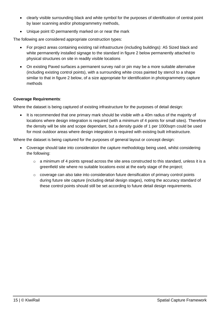- clearly visible surrounding black and white symbol for the purposes of identification of central point by laser scanning and/or photogrammetry methods,
- Unique point ID permanently marked on or near the mark

The following are considered appropriate construction types:

- For project areas containing existing rail infrastructure (including buildings): A5 Sized black and white permanently installed signage to the standard in figure 2 below permanently attached to physical structures on site in readily visible locations
- On existing Paved surfaces a permanent survey nail or pin may be a more suitable alternative (including existing control points), with a surrounding white cross painted by stencil to a shape similar to that in figure 2 below, of a size appropriate for identification in photogrammetry capture methods

#### **Coverage Requirements**:

Where the dataset is being captured of existing infrastructure for the purposes of detail design:

• It is recommended that one primary mark should be visible with a 40m radius of the majority of locations where design integration is required (with a minimum of 4 points for small sites). Therefore the density will be site and scope dependant, but a density guide of 1 per 1000sqm could be used for most outdoor areas where design integration is required with existing built infrastructure.

Where the dataset is being captured for the purposes of general layout or concept design:

- Coverage should take into consideration the capture methodology being used, whilst considering the following:
	- $\circ$  a minimum of 4 points spread across the site area constructed to this standard, unless it is a greenfield site where no suitable locations exist at the early stage of the project;
	- o coverage can also take into consideration future densification of primary control points during future site capture (including detail design stages), noting the accuracy standard of these control points should still be set according to future detail design requirements.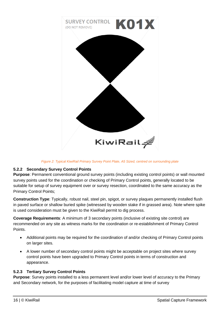

*Figure 2: Typical KiwiRail Primary Survey Point Plate, A5 Sized, centred on surrounding plate*

# <span id="page-15-2"></span><span id="page-15-0"></span>**5.2.2 Secondary Survey Control Points**

**Purpose**: Permanent conventional ground survey points (including existing control points) or wall mounted survey points used for the coordination or checking of Primary Control points, generally located to be suitable for setup of survey equipment over or survey resection, coordinated to the same accuracy as the Primary Control Points;

**Construction Type**: Typically, robust nail, steel pin, spigot, or survey plaques permanently installed flush in paved surface or shallow buried spike (witnessed by wooden stake if in grassed area). Note where spike is used consideration must be given to the KiwiRail permit to dig process.

**Coverage Requirements**: A minimum of 3 secondary points (inclusive of existing site control) are recommended on any site as witness marks for the coordination or re-establishment of Primary Control Points.

- Additional points may be required for the coordination of and/or checking of Primary Control points on larger sites.
- A lower number of secondary control points might be acceptable on project sites where survey control points have been upgraded to Primary Control points in terms of construction and appearance.

# <span id="page-15-1"></span>**5.2.3 Tertiary Survey Control Points**

**Purpose**: Survey points installed to a less permanent level and/or lower level of accuracy to the Primary and Secondary network, for the purposes of facilitating model capture at time of survey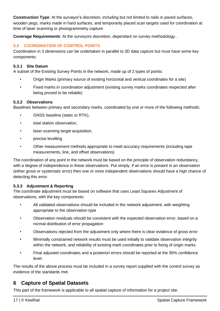**Construction Type**: At the surveyor's discretion, including but not limited to nails in paved surfaces, wooden pegs, marks made in hard surfaces, and temporarily placed scan targets used for coordination at time of laser scanning or photogrammetry capture

**Coverage Requirements**: At the surveyors discretion, dependant on survey methodology..

# <span id="page-16-0"></span>**5.3 COORDINATION OF CONTROL POINTS**

Coordination in 3 dimensions can be undertaken in parallel to 3D data capture but must have some key components:

## <span id="page-16-1"></span>**5.3.1 Site Datum**

A subset of the Existing Survey Points in the network, made up of 2 types of points:

- Origin Marks (primary source of existing horizontal and vertical coordinates for a site)
- Fixed marks in coordination adjustment (existing survey marks coordinates respected after being proved to be reliable)

#### <span id="page-16-2"></span>**5.3.2 Observations**

Baselines between primary and secondary marks, coordinated by one or more of the following methods:

- GNSS baseline (static or RTK),
- total station observation,
- laser scanning target acquisition,
- precise levelling
- Other measurement methods appropriate to meet accuracy requirements (including tape measurements, line, and offset observations)

The coordination of any point in the network must be based on the principle of observation redundancy, with a degree of independence in these observations. Put simply, if an error is present in an observation (either gross or systematic error) then one or more independent observations should have a high chance of detecting this error.

## <span id="page-16-3"></span>**5.3.3 Adjustment & Reporting**

The coordinate adjustment must be based on software that uses Least Squares Adjustment of observations, with the key components:

- All validated observations should be included in the network adjustment, with weighting appropriate to the observation type
- Observation residuals should be consistent with the expected observation error, based on a normal distribution of error propagation
- Observations rejected from the adjustment only where there is clear evidence of gross error
- Minimally constrained network results must be used initially to validate observation integrity within the network, and reliability of existing mark coordinates prior to fixing of origin marks
- Final adjusted coordinates and a posteriori errors should be reported at the 95% confidence level.

The results of the above process must be included in a survey report supplied with the control survey as evidence of the standards met.

# <span id="page-16-4"></span>**6 Capture of Spatial Datasets**

This part of the framework is applicable to all spatial capture of information for a project site.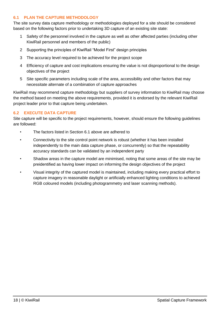## <span id="page-17-0"></span>**6.1 PLAN THE CAPTURE METHODOLOGY**

The site survey data capture methodology or methodologies deployed for a site should be considered based on the following factors prior to undertaking 3D capture of an existing site state:

- 1 Safety of the personnel involved in the capture as well as other affected parties (including other KiwiRail personnel and members of the public)
- 2 Supporting the principles of KiwiRail "Model First" design principles
- 3 The accuracy level required to be achieved for the project scope
- 4 Efficiency of capture and cost implications ensuring the value is not disproportional to the design objectives of the project
- 5 Site specific parameters including scale of the area, accessibility and other factors that may necessitate alternate of a combination of capture approaches

KiwiRail may recommend capture methodology but suppliers of survey information to KiwiRail may choose the method based on meeting the above requirements, provided it is endorsed by the relevant KiwiRail project leader prior to that capture being undertaken.

#### <span id="page-17-1"></span>**6.2 EXECUTE DATA CAPTURE**

Site capture will be specific to the project requirements, however, should ensure the following guidelines are followed:

- The factors listed in Section [6.1](#page-17-0) above are adhered to
- Connectivity to the site control point network is robust (whether it has been installed independently to the main data capture phase, or concurrently) so that the repeatability accuracy standards can be validated by an independent party
- Shadow areas in the capture model are minimised, noting that some areas of the site may be preidentified as having lower impact on informing the design objectives of the project
- Visual integrity of the captured model is maintained, including making every practical effort to capture imagery in reasonable daylight or artificially enhanced lighting conditions to achieved RGB coloured models (including photogrammetry and laser scanning methods).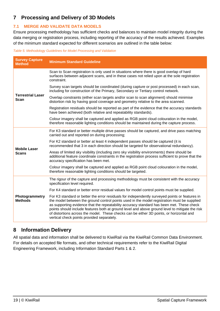# <span id="page-18-0"></span>**7 Processing and Delivery of 3D Models**

## <span id="page-18-1"></span>**7.1 MERGE AND VALIDATE DATA MODELS**

Ensure processing methodology has sufficient checks and balances to maintain model integrity during the data merging or registration process, including reporting of the accuracy of the results achieved. Examples of the minimum standard expected for different scenarios are outlined in the table below:

<span id="page-18-3"></span>*Table 5: Methodology Guidelines for Model Processing and Validation* 

| <b>Survey Capture</b><br><b>Method</b> | <b>Minimum Standard Guideline</b>                                                                                                                                                                                                                                                                                                                                                                                                                                                                                                       |
|----------------------------------------|-----------------------------------------------------------------------------------------------------------------------------------------------------------------------------------------------------------------------------------------------------------------------------------------------------------------------------------------------------------------------------------------------------------------------------------------------------------------------------------------------------------------------------------------|
|                                        | Scan to Scan registration is only used in situations where there is good overlap of hard<br>surfaces between adjacent scans, and in these cases not relied upon at the sole registration<br>constraint.                                                                                                                                                                                                                                                                                                                                 |
|                                        | Survey scan targets should be coordinated (during capture or post processed) in each scan,<br>including for construction of the Primary, Secondary or Tertiary control network.                                                                                                                                                                                                                                                                                                                                                         |
| <b>Terrestrial Laser</b><br>Scan       | Overlap constraints (either scan targets and/or scan to scan alignment) should minimise<br>distortion risk by having good coverage and geometry relative to the area scanned.                                                                                                                                                                                                                                                                                                                                                           |
|                                        | Registration residuals should be reported as part of the evidence that the accuracy standards<br>have been achieved (both relative and repeatability standards).                                                                                                                                                                                                                                                                                                                                                                        |
|                                        | Colour imagery shall be captured and applied as RGB point cloud colouration in the model,<br>therefore reasonable lighting conditions should be maintained during the capture process.                                                                                                                                                                                                                                                                                                                                                  |
|                                        | For K3 standard or better multiple drive passes should be captured, and drive pass matching<br>carried out and reported on during processing;                                                                                                                                                                                                                                                                                                                                                                                           |
| <b>Mobile Laser</b>                    | For K2 standard or better at least 4 independent passes should be captured (it is<br>recommended that 3 in each direction should be targeted for observational redundancy).                                                                                                                                                                                                                                                                                                                                                             |
| <b>Scans</b>                           | Areas of limited sky visibility (including zero sky visibility environments) there should be<br>additional feature coordinate constraints in the registration process sufficient to prove that the<br>accuracy specification has been met.                                                                                                                                                                                                                                                                                              |
|                                        | Colour imagery shall be captured and applied as RGB point cloud colouration in the model,<br>therefore reasonable lighting conditions should be targeted.                                                                                                                                                                                                                                                                                                                                                                               |
|                                        | The rigour of the capture and processing methodology must be consistent with the accuracy<br>specification level required.                                                                                                                                                                                                                                                                                                                                                                                                              |
|                                        | For K4 standard or better error residual values for model control points must be supplied.                                                                                                                                                                                                                                                                                                                                                                                                                                              |
| Photogrammetry<br><b>Methods</b>       | For K3 standard or better the error residuals for independently surveyed points or features in<br>the model between the ground control points used in the model registration must be supplied<br>as supporting evidence that the repeatability accuracy standard has been met. These check<br>points should include features both at ground level and above ground level to mitigate the risk<br>of distortions across the model. These checks can be either 3D points, or horizontal and<br>vertical check points provided separately. |

# <span id="page-18-2"></span>**8 Information Delivery**

All spatial data and information shall be delivered to KiwiRail via the KiwiRail Common Data Environment. For details on accepted file formats, and other technical requirements refer to the KiwiRail Digital Engineering Framework, including Information Standard Parts 1 & 2.